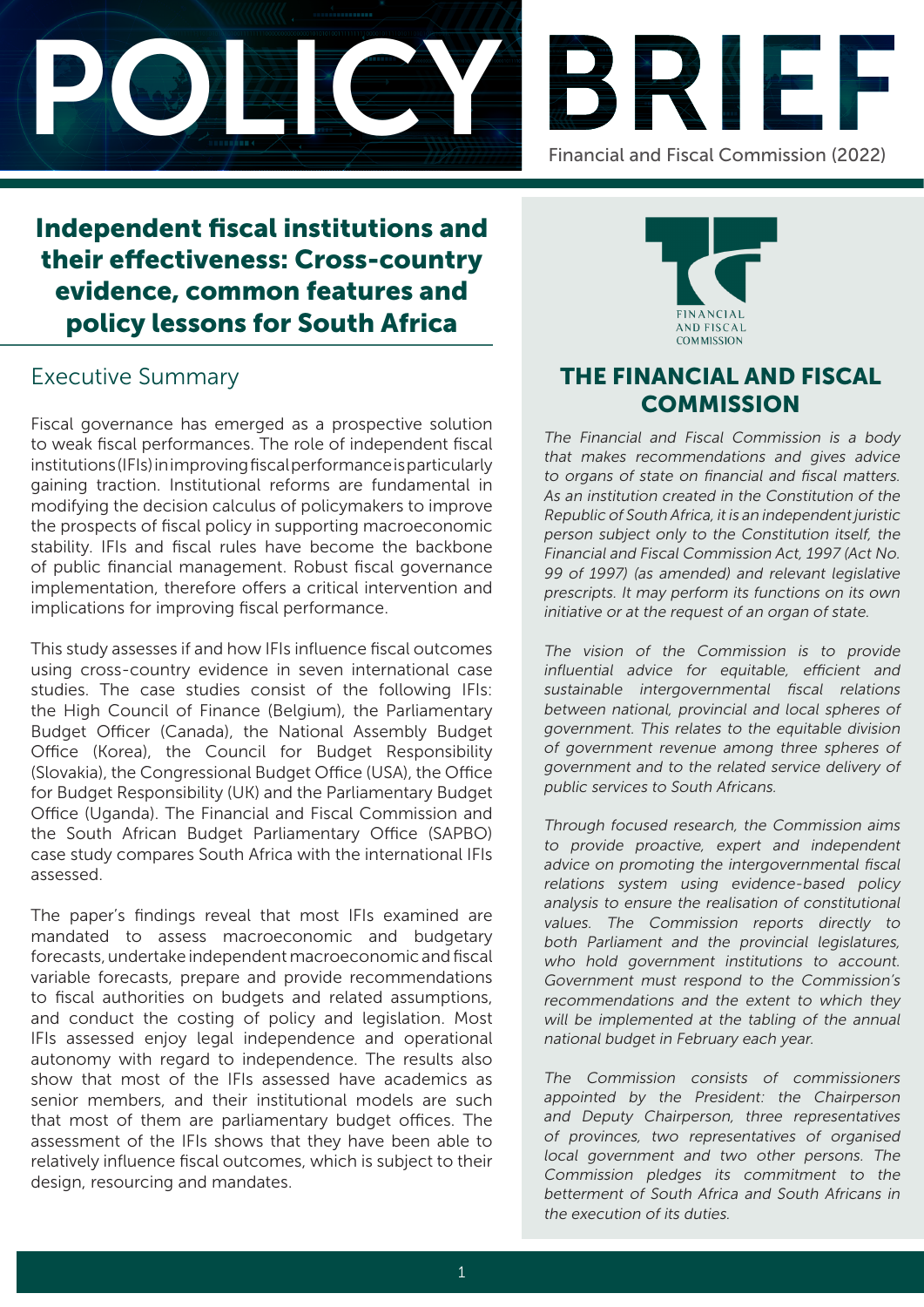



# Independent fiscal institutions and their effectiveness: Cross-country evidence, common features and policy lessons for South Africa

# Executive Summary

Fiscal governance has emerged as a prospective solution to weak fiscal performances. The role of independent fiscal institutions (IFIs) in improving fiscal performance is particularly gaining traction. Institutional reforms are fundamental in modifying the decision calculus of policymakers to improve the prospects of fiscal policy in supporting macroeconomic stability. IFIs and fiscal rules have become the backbone of public financial management. Robust fiscal governance implementation, therefore offers a critical intervention and implications for improving fiscal performance.

This study assesses if and how IFIs influence fiscal outcomes using cross-country evidence in seven international case studies. The case studies consist of the following IFIs: the High Council of Finance (Belgium), the Parliamentary Budget Officer (Canada), the National Assembly Budget Office (Korea), the Council for Budget Responsibility (Slovakia), the Congressional Budget Office (USA), the Office for Budget Responsibility (UK) and the Parliamentary Budget Office (Uganda). The Financial and Fiscal Commission and the South African Budget Parliamentary Office (SAPBO) case study compares South Africa with the international IFIs assessed.

The paper's findings reveal that most IFIs examined are mandated to assess macroeconomic and budgetary forecasts, undertake independent macroeconomic and fiscal variable forecasts, prepare and provide recommendations to fiscal authorities on budgets and related assumptions, and conduct the costing of policy and legislation. Most IFIs assessed enjoy legal independence and operational autonomy with regard to independence. The results also show that most of the IFIs assessed have academics as senior members, and their institutional models are such that most of them are parliamentary budget offices. The assessment of the IFIs shows that they have been able to relatively influence fiscal outcomes, which is subject to their design, resourcing and mandates.



# THE FINANCIAL AND FISCAL **COMMISSION**

The Financial and Fiscal Commission is a body that makes recommendations and gives advice to organs of state on financial and fiscal matters. As an institution created in the Constitution of the Republic of South Africa, it is an independent juristic person subject only to the Constitution itself, the Financial and Fiscal Commission Act, 1997 (Act No. 99 of 1997) (as amended) and relevant legislative prescripts. It may perform its functions on its own initiative or at the request of an organ of state.

The vision of the Commission is to provide influential advice for equitable, efficient and sustainable intergovernmental fiscal relations between national, provincial and local spheres of government. This relates to the equitable division of government revenue among three spheres of government and to the related service delivery of public services to South Africans.

Through focused research, the Commission aims to provide proactive, expert and independent advice on promoting the intergovernmental fiscal relations system using evidence-based policy analysis to ensure the realisation of constitutional values. The Commission reports directly to both Parliament and the provincial legislatures, who hold government institutions to account. Government must respond to the Commission's recommendations and the extent to which they will be implemented at the tabling of the annual national budget in February each year.

The Commission consists of commissioners appointed by the President: the Chairperson and Deputy Chairperson, three representatives of provinces, two representatives of organised local government and two other persons. The Commission pledges its commitment to the betterment of South Africa and South Africans in the execution of its duties.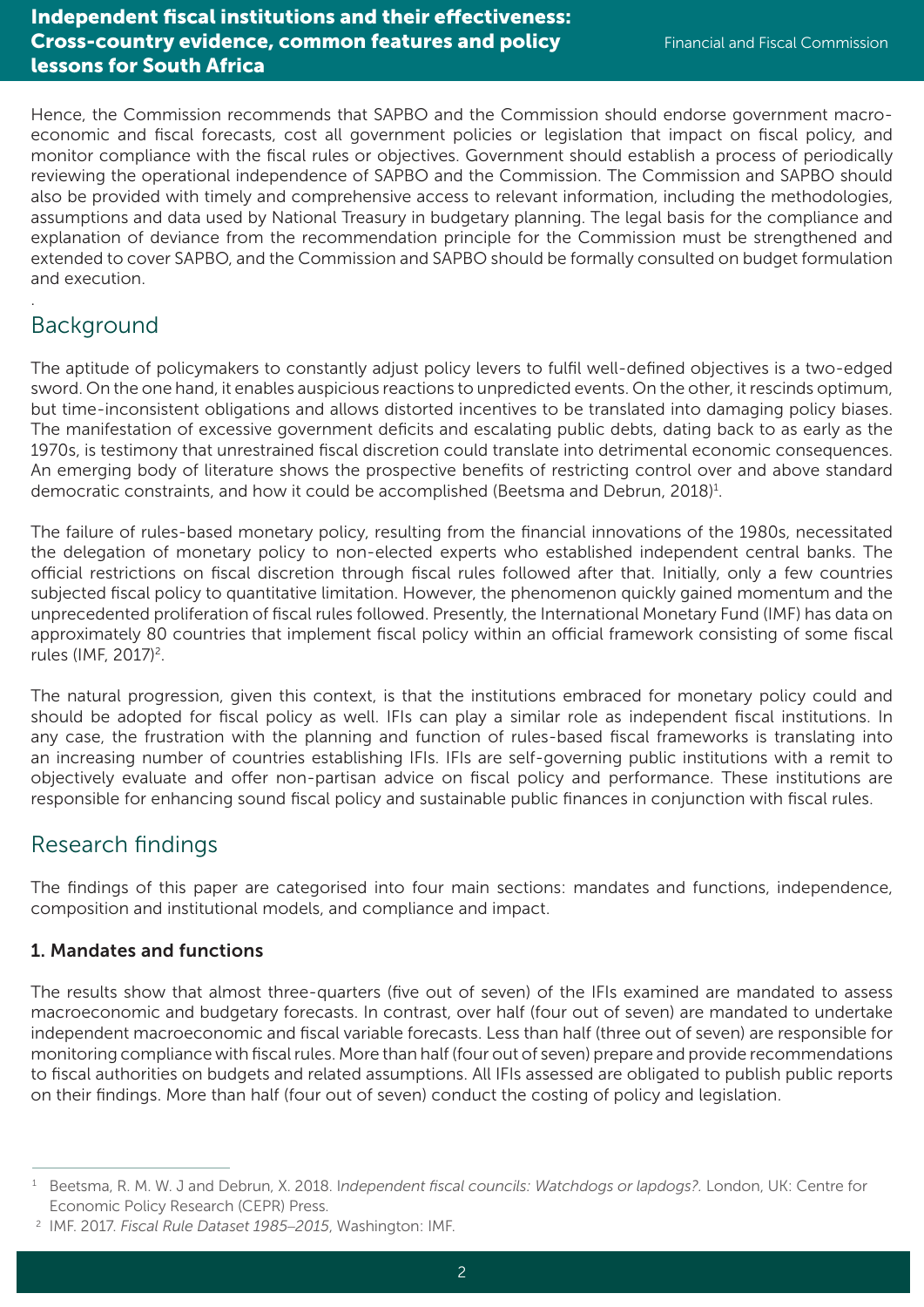### Independent fiscal institutions and their effectiveness: Cross-country evidence, common features and policy lessons for South Africa

Hence, the Commission recommends that SAPBO and the Commission should endorse government macroeconomic and fiscal forecasts, cost all government policies or legislation that impact on fiscal policy, and monitor compliance with the fiscal rules or objectives. Government should establish a process of periodically reviewing the operational independence of SAPBO and the Commission. The Commission and SAPBO should also be provided with timely and comprehensive access to relevant information, including the methodologies, assumptions and data used by National Treasury in budgetary planning. The legal basis for the compliance and explanation of deviance from the recommendation principle for the Commission must be strengthened and extended to cover SAPBO, and the Commission and SAPBO should be formally consulted on budget formulation and execution.

# Background

.

The aptitude of policymakers to constantly adjust policy levers to fulfil well-defined objectives is a two-edged sword. On the one hand, it enables auspicious reactions to unpredicted events. On the other, it rescinds optimum, but time-inconsistent obligations and allows distorted incentives to be translated into damaging policy biases. The manifestation of excessive government deficits and escalating public debts, dating back to as early as the 1970s, is testimony that unrestrained fiscal discretion could translate into detrimental economic consequences. An emerging body of literature shows the prospective benefits of restricting control over and above standard democratic constraints, and how it could be accomplished (Beetsma and Debrun, 2018)<sup>1</sup>.

The failure of rules-based monetary policy, resulting from the financial innovations of the 1980s, necessitated the delegation of monetary policy to non-elected experts who established independent central banks. The official restrictions on fiscal discretion through fiscal rules followed after that. Initially, only a few countries subjected fiscal policy to quantitative limitation. However, the phenomenon quickly gained momentum and the unprecedented proliferation of fiscal rules followed. Presently, the International Monetary Fund (IMF) has data on approximately 80 countries that implement fiscal policy within an official framework consisting of some fiscal rules (IMF, 2017)<sup>2</sup>.

The natural progression, given this context, is that the institutions embraced for monetary policy could and should be adopted for fiscal policy as well. IFIs can play a similar role as independent fiscal institutions. In any case, the frustration with the planning and function of rules-based fiscal frameworks is translating into an increasing number of countries establishing IFIs. IFIs are self-governing public institutions with a remit to objectively evaluate and offer non-partisan advice on fiscal policy and performance. These institutions are responsible for enhancing sound fiscal policy and sustainable public finances in conjunction with fiscal rules.

### Research findings

The findings of this paper are categorised into four main sections: mandates and functions, independence, composition and institutional models, and compliance and impact.

### 1. Mandates and functions

The results show that almost three-quarters (five out of seven) of the IFIs examined are mandated to assess macroeconomic and budgetary forecasts. In contrast, over half (four out of seven) are mandated to undertake independent macroeconomic and fiscal variable forecasts. Less than half (three out of seven) are responsible for monitoring compliance with fiscal rules. More than half (four out of seven) prepare and provide recommendations to fiscal authorities on budgets and related assumptions. All IFIs assessed are obligated to publish public reports on their findings. More than half (four out of seven) conduct the costing of policy and legislation.

<sup>1</sup> Beetsma, R. M. W. J and Debrun, X. 2018. I*ndependent fiscal councils: Watchdogs or lapdogs?.* London, UK: Centre for Economic Policy Research (CEPR) Press.

<sup>2</sup> IMF. 2017. *Fiscal Rule Dataset 1985*–*2015*, Washington: IMF.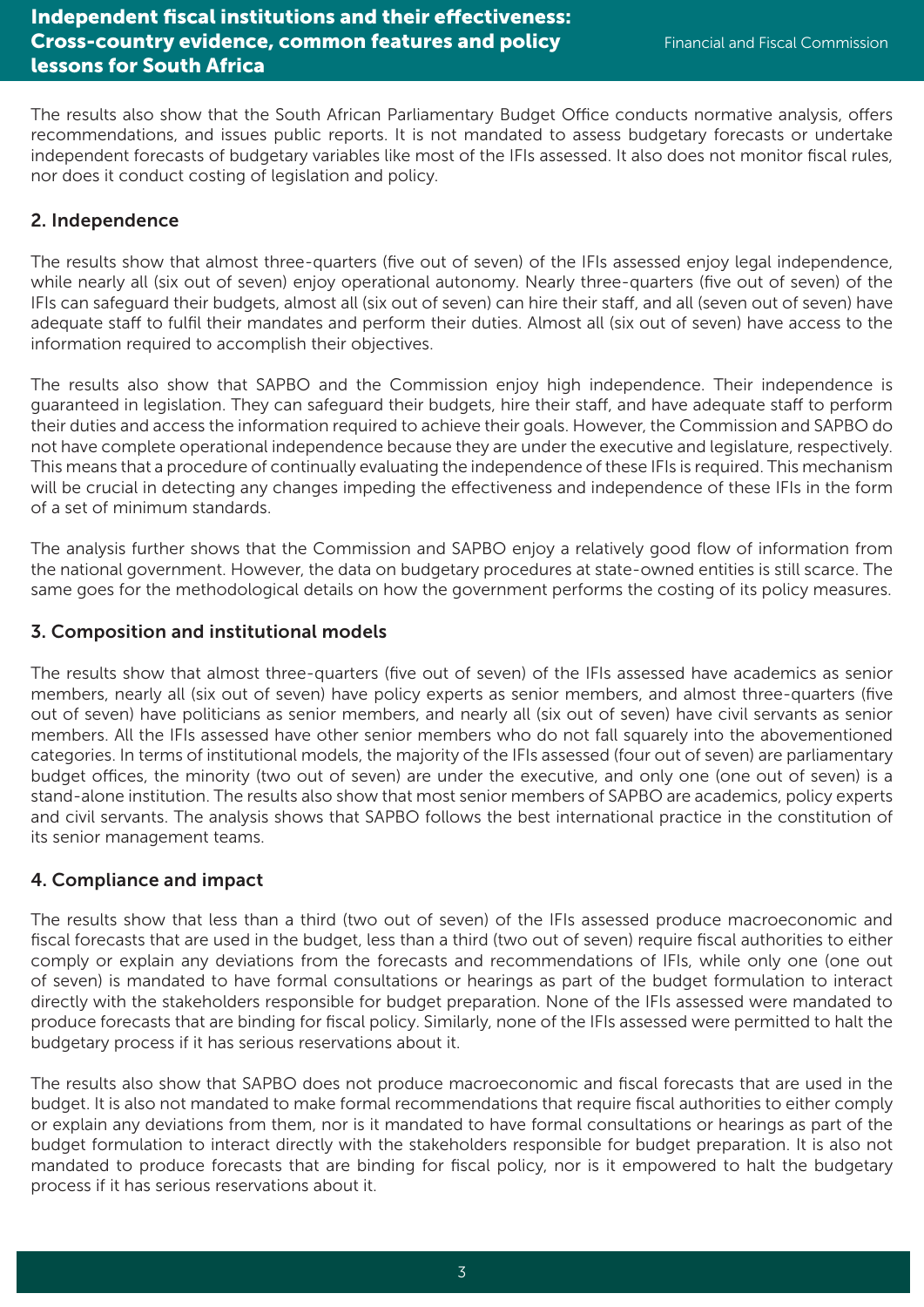The results also show that the South African Parliamentary Budget Office conducts normative analysis, offers recommendations, and issues public reports. It is not mandated to assess budgetary forecasts or undertake independent forecasts of budgetary variables like most of the IFIs assessed. It also does not monitor fiscal rules, nor does it conduct costing of legislation and policy.

#### 2. Independence

The results show that almost three-quarters (five out of seven) of the IFIs assessed enjoy legal independence, while nearly all (six out of seven) enjoy operational autonomy. Nearly three-quarters (five out of seven) of the IFIs can safeguard their budgets, almost all (six out of seven) can hire their staff, and all (seven out of seven) have adequate staff to fulfil their mandates and perform their duties. Almost all (six out of seven) have access to the information required to accomplish their objectives.

The results also show that SAPBO and the Commission enjoy high independence. Their independence is guaranteed in legislation. They can safeguard their budgets, hire their staff, and have adequate staff to perform their duties and access the information required to achieve their goals. However, the Commission and SAPBO do not have complete operational independence because they are under the executive and legislature, respectively. This means that a procedure of continually evaluating the independence of these IFIs is required. This mechanism will be crucial in detecting any changes impeding the effectiveness and independence of these IFIs in the form of a set of minimum standards.

The analysis further shows that the Commission and SAPBO enjoy a relatively good flow of information from the national government. However, the data on budgetary procedures at state-owned entities is still scarce. The same goes for the methodological details on how the government performs the costing of its policy measures.

#### 3. Composition and institutional models

The results show that almost three-quarters (five out of seven) of the IFIs assessed have academics as senior members, nearly all (six out of seven) have policy experts as senior members, and almost three-quarters (five out of seven) have politicians as senior members, and nearly all (six out of seven) have civil servants as senior members. All the IFIs assessed have other senior members who do not fall squarely into the abovementioned categories. In terms of institutional models, the majority of the IFIs assessed (four out of seven) are parliamentary budget offices, the minority (two out of seven) are under the executive, and only one (one out of seven) is a stand-alone institution. The results also show that most senior members of SAPBO are academics, policy experts and civil servants. The analysis shows that SAPBO follows the best international practice in the constitution of its senior management teams.

#### 4. Compliance and impact

The results show that less than a third (two out of seven) of the IFIs assessed produce macroeconomic and fiscal forecasts that are used in the budget, less than a third (two out of seven) require fiscal authorities to either comply or explain any deviations from the forecasts and recommendations of IFIs, while only one (one out of seven) is mandated to have formal consultations or hearings as part of the budget formulation to interact directly with the stakeholders responsible for budget preparation. None of the IFIs assessed were mandated to produce forecasts that are binding for fiscal policy. Similarly, none of the IFIs assessed were permitted to halt the budgetary process if it has serious reservations about it.

The results also show that SAPBO does not produce macroeconomic and fiscal forecasts that are used in the budget. It is also not mandated to make formal recommendations that require fiscal authorities to either comply or explain any deviations from them, nor is it mandated to have formal consultations or hearings as part of the budget formulation to interact directly with the stakeholders responsible for budget preparation. It is also not mandated to produce forecasts that are binding for fiscal policy, nor is it empowered to halt the budgetary process if it has serious reservations about it.